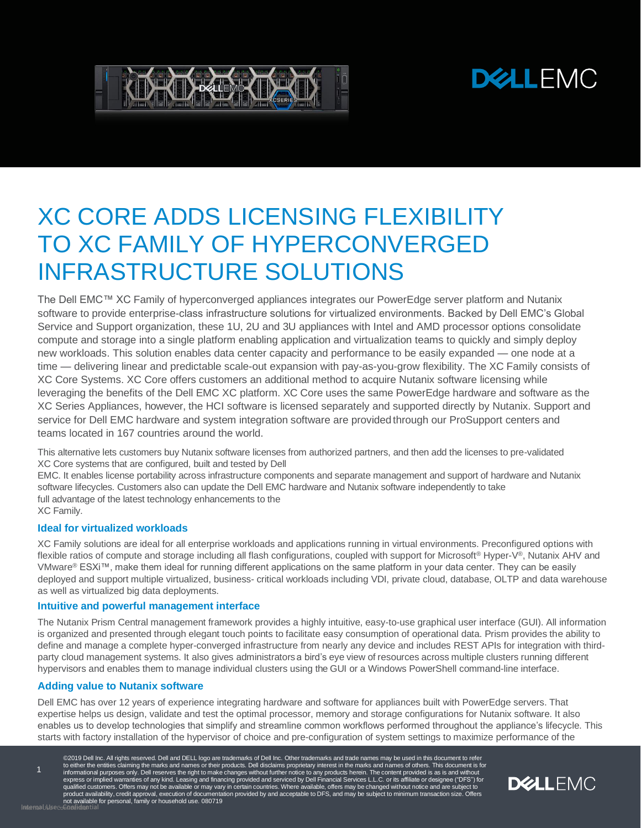# **DELLEMC**



# XC CORE ADDS LICENSING FLEXIBILITY TO XC FAMILY OF HYPERCONVERGED INFRASTRUCTURE SOLUTIONS

The Dell EMC™ XC Family of hyperconverged appliances integrates our PowerEdge server platform and Nutanix software to provide enterprise-class infrastructure solutions for virtualized environments. Backed by Dell EMC's Global Service and Support organization, these 1U, 2U and 3U appliances with Intel and AMD processor options consolidate compute and storage into a single platform enabling application and virtualization teams to quickly and simply deploy new workloads. This solution enables data center capacity and performance to be easily expanded — one node at a time — delivering linear and predictable scale-out expansion with pay-as-you-grow flexibility. The XC Family consists of XC Core Systems. XC Core offers customers an additional method to acquire Nutanix software licensing while leveraging the benefits of the Dell EMC XC platform. XC Core uses the same PowerEdge hardware and software as the XC Series Appliances, however, the HCI software is licensed separately and supported directly by Nutanix. Support and service for Dell EMC hardware and system integration software are provided through our ProSupport centers and teams located in 167 countries around the world.

This alternative lets customers buy Nutanix software licenses from authorized partners, and then add the licenses to pre-validated XC Core systems that are configured, built and tested by Dell

EMC. It enables license portability across infrastructure components and separate management and support of hardware and Nutanix software lifecycles. Customers also can update the Dell EMC hardware and Nutanix software independently to take full advantage of the latest technology enhancements to the XC Family.

### **Ideal for virtualized workloads**

XC Family solutions are ideal for all enterprise workloads and applications running in virtual environments. Preconfigured options with flexible ratios of compute and storage including all flash configurations, coupled with support for Microsoft® Hyper-V®, Nutanix AHV and VMware® ESXi™, make them ideal for running different applications on the same platform in your data center. They can be easily deployed and support multiple virtualized, business- critical workloads including VDI, private cloud, database, OLTP and data warehouse as well as virtualized big data deployments.

### **Intuitive and powerful management interface**

The Nutanix Prism Central management framework provides a highly intuitive, easy-to-use graphical user interface (GUI). All information is organized and presented through elegant touch points to facilitate easy consumption of operational data. Prism provides the ability to define and manage a complete hyper-converged infrastructure from nearly any device and includes REST APIs for integration with thirdparty cloud management systems. It also gives administratorsa bird's eye view of resources across multiple clusters running different hypervisors and enables them to manage individual clusters using the GUI or a Windows PowerShell command-line interface.

## **Adding value to Nutanix software**

Dell EMC has over 12 years of experience integrating hardware and software for appliances built with PowerEdge servers. That expertise helps us design, validate and test the optimal processor, memory and storage configurations for Nutanix software. It also enables us to develop technologies that simplify and streamline common workflows performed throughout the appliance's lifecycle. This starts with factory installation of the hypervisor of choice and pre-configuration of system settings to maximize performance of the

©2019 Dell Inc. All rights reserved. Dell and DELL logo are trademarks of Dell Inc. Other trademarks and trade names may be used in this document to refer<br>to either the entities claiming the marks and names or their produc product availability, credit approval, execution of documentation provided by and acceptable to DFS, and may be subject to minimum transaction size. Offers<br>InternaUldsecoGoofidiantial for personal, family or household use

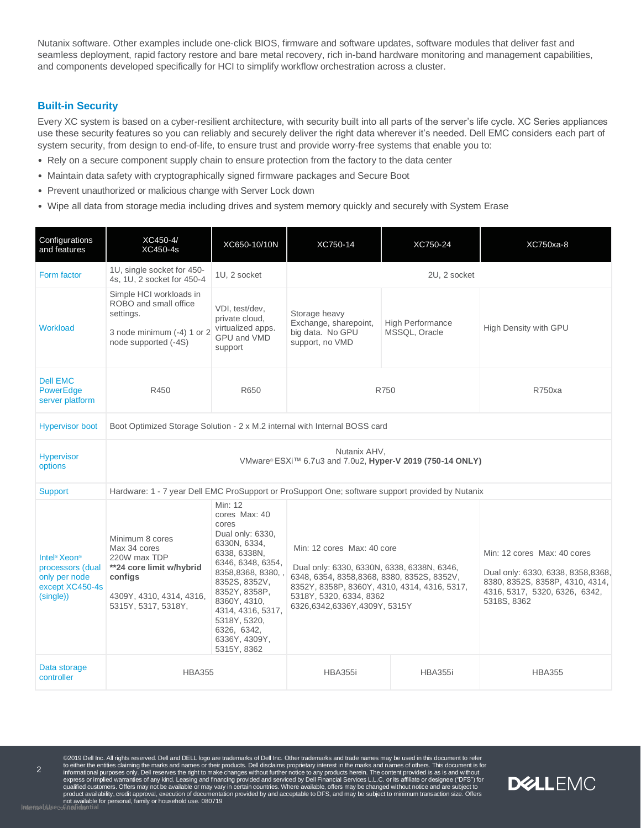Nutanix software. Other examples include one-click BIOS, firmware and software updates, software modules that deliver fast and seamless deployment, rapid factory restore and bare metal recovery, rich in-band hardware monitoring and management capabilities, and components developed specifically for HCI to simplify workflow orchestration across a cluster.

## **Built-in Security**

Every XC system is based on a cyber-resilient architecture, with security built into all parts of the server's life cycle. XC Series appliances use these security features so you can reliably and securely deliver the right data wherever it's needed. Dell EMC considers each part of system security, from design to end-of-life, to ensure trust and provide worry-free systems that enable you to:

- Rely on a secure component supply chain to ensure protection from the factory to the data center
- Maintain data safety with cryptographically signed firmware packages and Secure Boot
- Prevent unauthorized or malicious change with Server Lock down
- Wipe all data from storage media including drives and system memory quickly and securely with System Erase

| Configurations<br>and features                                                                            | XC450-4/<br>XC450-4s                                                                                                                      | XC650-10/10N                                                                                                                                                                                                                                                           | XC750-14                                                                                                                                                                                                                                                                                                                                                                                   | XC750-24                                 | XC750xa-8             |
|-----------------------------------------------------------------------------------------------------------|-------------------------------------------------------------------------------------------------------------------------------------------|------------------------------------------------------------------------------------------------------------------------------------------------------------------------------------------------------------------------------------------------------------------------|--------------------------------------------------------------------------------------------------------------------------------------------------------------------------------------------------------------------------------------------------------------------------------------------------------------------------------------------------------------------------------------------|------------------------------------------|-----------------------|
| Form factor                                                                                               | 1U, single socket for 450-<br>4s, 1U, 2 socket for 450-4                                                                                  | 1U, 2 socket                                                                                                                                                                                                                                                           | 2U, 2 socket                                                                                                                                                                                                                                                                                                                                                                               |                                          |                       |
| Workload                                                                                                  | Simple HCI workloads in<br>ROBO and small office<br>settings.<br>3 node minimum (-4) 1 or 2<br>node supported (-4S)                       | VDI, test/dev,<br>private cloud,<br>virtualized apps.<br>GPU and VMD<br>support                                                                                                                                                                                        | Storage heavy<br>Exchange, sharepoint,<br>big data. No GPU<br>support, no VMD                                                                                                                                                                                                                                                                                                              | <b>High Performance</b><br>MSSQL, Oracle | High Density with GPU |
| <b>Dell EMC</b><br>PowerEdge<br>server platform                                                           | R450                                                                                                                                      | R650                                                                                                                                                                                                                                                                   | R750                                                                                                                                                                                                                                                                                                                                                                                       |                                          | R750xa                |
| <b>Hypervisor boot</b>                                                                                    | Boot Optimized Storage Solution - 2 x M.2 internal with Internal BOSS card                                                                |                                                                                                                                                                                                                                                                        |                                                                                                                                                                                                                                                                                                                                                                                            |                                          |                       |
| <b>Hypervisor</b><br>options                                                                              | Nutanix AHV,<br>VMware® ESXi™ 6.7u3 and 7.0u2, Hyper-V 2019 (750-14 ONLY)                                                                 |                                                                                                                                                                                                                                                                        |                                                                                                                                                                                                                                                                                                                                                                                            |                                          |                       |
| <b>Support</b>                                                                                            | Hardware: 1 - 7 year Dell EMC ProSupport or ProSupport One; software support provided by Nutanix                                          |                                                                                                                                                                                                                                                                        |                                                                                                                                                                                                                                                                                                                                                                                            |                                          |                       |
| Intel <sup>®</sup> Xeon <sup>®</sup><br>processors (dual<br>only per node<br>except XC450-4s<br>(single)) | Minimum 8 cores<br>Max 34 cores<br>220W max TDP<br>**24 core limit w/hybrid<br>configs<br>4309Y, 4310, 4314, 4316,<br>5315Y, 5317, 5318Y, | Min: 12<br>cores Max: 40<br>cores<br>Dual only: 6330,<br>6330N, 6334,<br>6338, 6338N,<br>6346, 6348, 6354,<br>8358,8368, 8380, ,<br>8352S, 8352V,<br>8352Y, 8358P,<br>8360Y, 4310,<br>4314, 4316, 5317,<br>5318Y, 5320,<br>6326, 6342,<br>6336Y, 4309Y,<br>5315Y, 8362 | Min: 12 cores Max: 40 core<br>Min: 12 cores Max: 40 cores<br>Dual only: 6330, 6330N, 6338, 6338N, 6346,<br>Dual only: 6330, 6338, 8358, 8368,<br>6348, 6354, 8358, 8368, 8380, 8352S, 8352V,<br>8380, 8352S, 8358P, 4310, 4314,<br>8352Y, 8358P, 8360Y, 4310, 4314, 4316, 5317,<br>4316, 5317, 5320, 6326, 6342,<br>5318Y, 5320, 6334, 8362<br>5318S, 8362<br>6326,6342,6336Y,4309Y, 5315Y |                                          |                       |
| Data storage<br>controller                                                                                | <b>HBA355</b>                                                                                                                             |                                                                                                                                                                                                                                                                        | <b>HBA355i</b>                                                                                                                                                                                                                                                                                                                                                                             | <b>HBA355i</b>                           | <b>HBA355</b>         |

©2019 Dell Inc. All rights reserved. Dell and DELL logo are trademarks of Dell Inc. Other trademarks and trade names may be used in this document to refer<br>to either the entities claiming the marks and names or their produc product availability, credit approval, execution of documentation provided by and acceptable to DFS, and may be subject to minimum transaction size. Offers not available for personal, family or household use. 080719

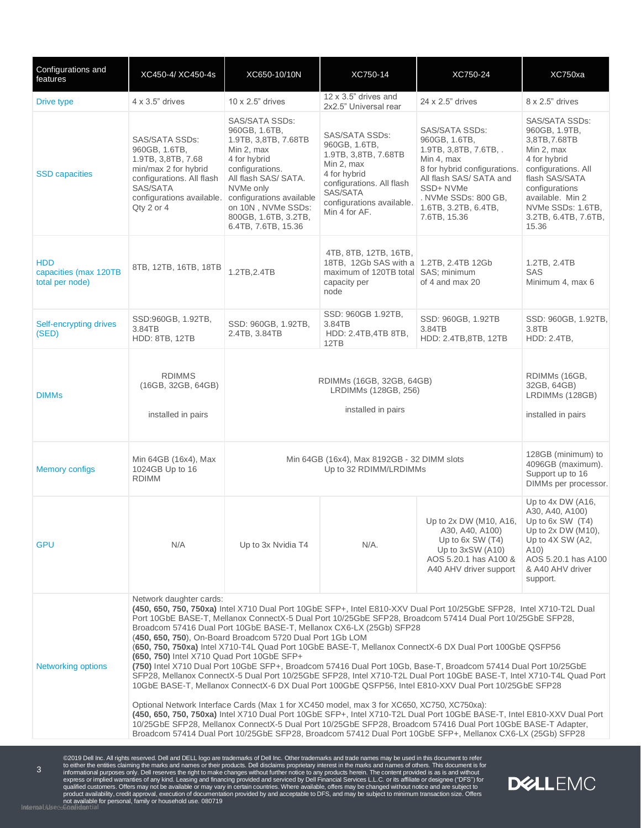| Configurations and<br>features                         | XC450-4/ XC450-4s                                                                                                                                                 | XC650-10/10N                                                                                                                                                                                                                                                                                                                                                                                                                                                                                                                                                                                                                                                                                                                                                                                                                                                                                                                                                                                                                                                                                                                                                                                                                                                                                                                              | XC750-14                                                                                                                                                                     | XC750-24                                                                                                                                                                                                       | XC750xa                                                                                                                                                                                                             |  |
|--------------------------------------------------------|-------------------------------------------------------------------------------------------------------------------------------------------------------------------|-------------------------------------------------------------------------------------------------------------------------------------------------------------------------------------------------------------------------------------------------------------------------------------------------------------------------------------------------------------------------------------------------------------------------------------------------------------------------------------------------------------------------------------------------------------------------------------------------------------------------------------------------------------------------------------------------------------------------------------------------------------------------------------------------------------------------------------------------------------------------------------------------------------------------------------------------------------------------------------------------------------------------------------------------------------------------------------------------------------------------------------------------------------------------------------------------------------------------------------------------------------------------------------------------------------------------------------------|------------------------------------------------------------------------------------------------------------------------------------------------------------------------------|----------------------------------------------------------------------------------------------------------------------------------------------------------------------------------------------------------------|---------------------------------------------------------------------------------------------------------------------------------------------------------------------------------------------------------------------|--|
| Drive type                                             | $4 \times 3.5$ " drives                                                                                                                                           | $10 \times 2.5$ " drives                                                                                                                                                                                                                                                                                                                                                                                                                                                                                                                                                                                                                                                                                                                                                                                                                                                                                                                                                                                                                                                                                                                                                                                                                                                                                                                  | 12 x 3.5" drives and<br>2x2.5" Universal rear                                                                                                                                | 24 x 2.5" drives                                                                                                                                                                                               | 8 x 2.5" drives                                                                                                                                                                                                     |  |
| <b>SSD</b> capacities                                  | SAS/SATA SSDs:<br>960GB, 1.6TB,<br>1.9TB, 3,8TB, 7.68<br>min/max 2 for hybrid<br>configurations. All flash<br>SAS/SATA<br>configurations available.<br>Qty 2 or 4 | SAS/SATA SSDs:<br>960GB, 1.6TB,<br>1.9TB, 3,8TB, 7.68TB<br>Min 2, max<br>4 for hybrid<br>configurations.<br>All flash SAS/ SATA.<br>NVMe only<br>configurations available<br>on 10N, NVMe SSDs:<br>800GB, 1.6TB, 3.2TB,<br>6.4TB, 7.6TB, 15.36                                                                                                                                                                                                                                                                                                                                                                                                                                                                                                                                                                                                                                                                                                                                                                                                                                                                                                                                                                                                                                                                                            | SAS/SATA SSDs:<br>960GB, 1.6TB,<br>1.9TB, 3,8TB, 7.68TB<br>Min 2, max<br>4 for hybrid<br>configurations. All flash<br>SAS/SATA<br>configurations available.<br>Min 4 for AF. | SAS/SATA SSDs:<br>960GB, 1.6TB,<br>1.9TB, 3,8TB, 7.6TB, .<br>Min 4, max<br>8 for hybrid configurations.<br>All flash SAS/ SATA and<br>SSD+NVMe<br>. NVMe SSDs: 800 GB,<br>1.6TB, 3.2TB, 6.4TB,<br>7.6TB, 15.36 | SAS/SATA SSDs:<br>960GB, 1.9TB,<br>3,8TB, 7.68TB<br>Min 2, max<br>4 for hybrid<br>configurations. All<br>flash SAS/SATA<br>configurations<br>available. Min 2<br>NVMe SSDs: 1.6TB,<br>3.2TB, 6.4TB, 7.6TB,<br>15.36 |  |
| <b>HDD</b><br>capacities (max 120TB<br>total per node) | 8TB, 12TB, 16TB, 18TB                                                                                                                                             | 1.2TB, 2.4TB                                                                                                                                                                                                                                                                                                                                                                                                                                                                                                                                                                                                                                                                                                                                                                                                                                                                                                                                                                                                                                                                                                                                                                                                                                                                                                                              | 4TB, 8TB, 12TB, 16TB,<br>18TB, 12Gb SAS with a 1.2TB, 2.4TB 12Gb<br>maximum of 120TB total SAS; minimum<br>capacity per<br>node                                              | of 4 and max 20                                                                                                                                                                                                | 1.2TB, 2.4TB<br>SAS<br>Minimum 4, max 6                                                                                                                                                                             |  |
| Self-encrypting drives<br>(SED)                        | SSD:960GB, 1.92TB,<br>3.84TB<br><b>HDD: 8TB, 12TB</b>                                                                                                             | SSD: 960GB, 1.92TB,<br>2.4TB, 3.84TB                                                                                                                                                                                                                                                                                                                                                                                                                                                                                                                                                                                                                                                                                                                                                                                                                                                                                                                                                                                                                                                                                                                                                                                                                                                                                                      | SSD: 960GB 1.92TB,<br>3.84TB<br>HDD: 2.4TB, 4TB 8TB,<br>12TB                                                                                                                 | SSD: 960GB, 1.92TB<br>3.84TB<br>HDD: 2.4TB, 8TB, 12TB                                                                                                                                                          | SSD: 960GB, 1.92TB,<br>3.8TB<br>HDD: 2.4TB,                                                                                                                                                                         |  |
| <b>DIMMs</b>                                           | <b>RDIMMS</b><br>(16GB, 32GB, 64GB)<br>installed in pairs                                                                                                         |                                                                                                                                                                                                                                                                                                                                                                                                                                                                                                                                                                                                                                                                                                                                                                                                                                                                                                                                                                                                                                                                                                                                                                                                                                                                                                                                           | RDIMMs (16GB,<br>RDIMMs (16GB, 32GB, 64GB)<br>32GB, 64GB)<br>LRDIMMs (128GB, 256)<br>LRDIMMs (128GB)<br>installed in pairs<br>installed in pairs                             |                                                                                                                                                                                                                |                                                                                                                                                                                                                     |  |
| <b>Memory configs</b>                                  | Min 64GB (16x4), Max<br>1024GB Up to 16<br><b>RDIMM</b>                                                                                                           |                                                                                                                                                                                                                                                                                                                                                                                                                                                                                                                                                                                                                                                                                                                                                                                                                                                                                                                                                                                                                                                                                                                                                                                                                                                                                                                                           | 128GB (minimum) to<br>Min 64GB (16x4), Max 8192GB - 32 DIMM slots<br>4096GB (maximum).<br>Up to 32 RDIMM/LRDIMMs<br>Support up to 16<br>DIMMs per processor.                 |                                                                                                                                                                                                                |                                                                                                                                                                                                                     |  |
| <b>GPU</b>                                             | N/A                                                                                                                                                               | Up to 3x Nvidia T4                                                                                                                                                                                                                                                                                                                                                                                                                                                                                                                                                                                                                                                                                                                                                                                                                                                                                                                                                                                                                                                                                                                                                                                                                                                                                                                        | N/A.                                                                                                                                                                         | Up to 2x DW (M10, A16,<br>A30, A40, A100)<br>Up to $6x$ SW $(T4)$<br>Up to $3xSW(A10)$<br>AOS 5.20.1 has A100 &<br>A40 AHV driver support                                                                      | Up to $4x$ DW (A16,<br>A30, A40, A100)<br>Up to 6x SW (T4)<br>Up to $2x$ DW (M10),<br>Up to 4X SW (A2,<br>A10)<br>AOS 5.20.1 has A100<br>& A40 AHV driver<br>support.                                               |  |
| Networking options                                     | Network daughter cards:                                                                                                                                           | (450, 650, 750, 750xa) Intel X710 Dual Port 10GbE SFP+, Intel E810-XXV Dual Port 10/25GbE SFP28, Intel X710-T2L Dual<br>Port 10GbE BASE-T, Mellanox ConnectX-5 Dual Port 10/25GbE SFP28, Broadcom 57414 Dual Port 10/25GbE SFP28,<br>Broadcom 57416 Dual Port 10GbE BASE-T, Mellanox CX6-LX (25Gb) SFP28<br>(450, 650, 750), On-Board Broadcom 5720 Dual Port 1Gb LOM<br>(650, 750, 750xa) Intel X710-T4L Quad Port 10GbE BASE-T, Mellanox ConnectX-6 DX Dual Port 100GbE QSFP56<br>(650, 750) Intel X710 Quad Port 10GbE SFP+<br>(750) Intel X710 Dual Port 10GbE SFP+, Broadcom 57416 Dual Port 10Gb, Base-T, Broadcom 57414 Dual Port 10/25GbE<br>SFP28, Mellanox ConnectX-5 Dual Port 10/25GbE SFP28, Intel X710-T2L Dual Port 10GbE BASE-T, Intel X710-T4L Quad Port<br>10GbE BASE-T, Mellanox ConnectX-6 DX Dual Port 100GbE QSFP56, Intel E810-XXV Dual Port 10/25GbE SFP28<br>Optional Network Interface Cards (Max 1 for XC450 model, max 3 for XC650, XC750, XC750xa):<br>(450, 650, 750, 750xa) Intel X710 Dual Port 10GbE SFP+, Intel X710-T2L Dual Port 10GbE BASE-T, Intel E810-XXV Dual Port<br>10/25GbE SFP28, Mellanox ConnectX-5 Dual Port 10/25GbE SFP28, Broadcom 57416 Dual Port 10GbE BASE-T Adapter,<br>Broadcom 57414 Dual Port 10/25GbE SFP28, Broadcom 57412 Dual Port 10GbE SFP+, Mellanox CX6-LX (25Gb) SFP28 |                                                                                                                                                                              |                                                                                                                                                                                                                |                                                                                                                                                                                                                     |  |

©2019 Dell Inc. All rights reserved. Dell and DELL logo are trademarks of Dell Inc. Other trademarks and trade names may be used in this document to refer<br>to either the entities claiming the marks and names or their produ

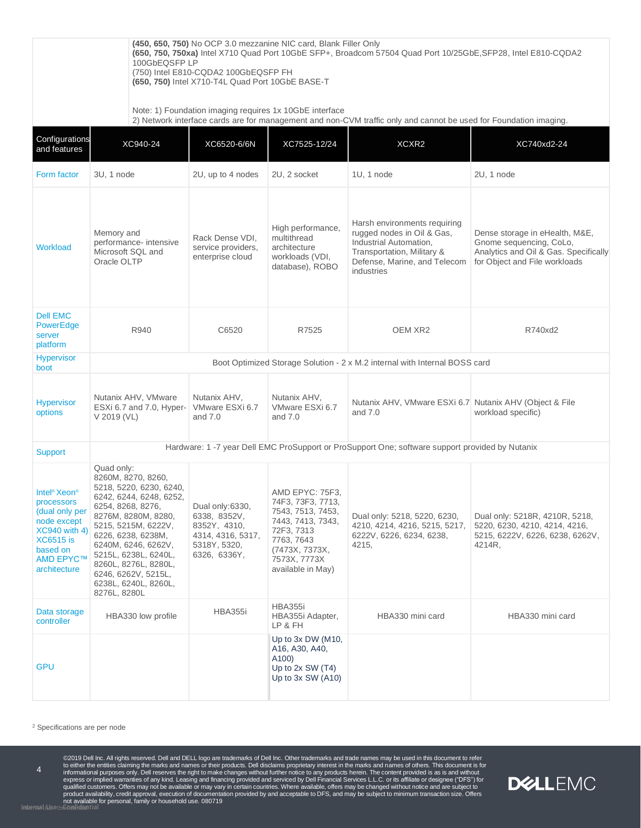|                                                                                                                                                            | (450, 650, 750) No OCP 3.0 mezzanine NIC card, Blank Filler Only<br>(650, 750, 750xa) Intel X710 Quad Port 10GbE SFP+, Broadcom 57504 Quad Port 10/25GbE, SFP28, Intel E810-CQDA2<br>100GbEQSFPLP<br>(750) Intel E810-CQDA2 100GbEQSFP FH<br>(650, 750) Intel X710-T4L Quad Port 10GbE BASE-T<br>Note: 1) Foundation imaging requires 1x 10GbE interface<br>2) Network interface cards are for management and non-CVM traffic only and cannot be used for Foundation imaging. |                                                                                                      |                                                                                                                                                                   |                                                                                                                                                                  |                                                                                                                                     |  |
|------------------------------------------------------------------------------------------------------------------------------------------------------------|-------------------------------------------------------------------------------------------------------------------------------------------------------------------------------------------------------------------------------------------------------------------------------------------------------------------------------------------------------------------------------------------------------------------------------------------------------------------------------|------------------------------------------------------------------------------------------------------|-------------------------------------------------------------------------------------------------------------------------------------------------------------------|------------------------------------------------------------------------------------------------------------------------------------------------------------------|-------------------------------------------------------------------------------------------------------------------------------------|--|
| Configurations                                                                                                                                             |                                                                                                                                                                                                                                                                                                                                                                                                                                                                               |                                                                                                      |                                                                                                                                                                   |                                                                                                                                                                  |                                                                                                                                     |  |
| and features                                                                                                                                               | XC940-24                                                                                                                                                                                                                                                                                                                                                                                                                                                                      | XC6520-6/6N                                                                                          | XC7525-12/24                                                                                                                                                      | XCXR2                                                                                                                                                            | XC740xd2-24                                                                                                                         |  |
| Form factor                                                                                                                                                | 3U, 1 node                                                                                                                                                                                                                                                                                                                                                                                                                                                                    | 2U, up to 4 nodes                                                                                    | 2U, 2 socket                                                                                                                                                      | 1U, 1 node                                                                                                                                                       | 2U, 1 node                                                                                                                          |  |
| Workload                                                                                                                                                   | Memory and<br>performance- intensive<br>Microsoft SQL and<br>Oracle OLTP                                                                                                                                                                                                                                                                                                                                                                                                      | Rack Dense VDI,<br>service providers,<br>enterprise cloud                                            | High performance,<br>multithread<br>architecture<br>workloads (VDI,<br>database), ROBO                                                                            | Harsh environments requiring<br>rugged nodes in Oil & Gas,<br>Industrial Automation,<br>Transportation, Military &<br>Defense, Marine, and Telecom<br>industries | Dense storage in eHealth, M&E,<br>Gnome sequencing, CoLo,<br>Analytics and Oil & Gas. Specifically<br>for Object and File workloads |  |
| <b>Dell EMC</b><br>PowerEdge<br>server<br>platform                                                                                                         | R940                                                                                                                                                                                                                                                                                                                                                                                                                                                                          | C6520                                                                                                | R7525                                                                                                                                                             | OEM XR <sub>2</sub>                                                                                                                                              | R740xd2                                                                                                                             |  |
| <b>Hypervisor</b><br>boot                                                                                                                                  | Boot Optimized Storage Solution - 2 x M.2 internal with Internal BOSS card                                                                                                                                                                                                                                                                                                                                                                                                    |                                                                                                      |                                                                                                                                                                   |                                                                                                                                                                  |                                                                                                                                     |  |
| <b>Hypervisor</b><br>options                                                                                                                               | Nutanix AHV, VMware<br>ESXi 6.7 and 7.0, Hyper-<br>V 2019 (VL)                                                                                                                                                                                                                                                                                                                                                                                                                | Nutanix AHV,<br>VMware ESXi 6.7<br>and $7.0$                                                         | Nutanix AHV,<br>VMware ESXi 6.7<br>and $7.0$                                                                                                                      | Nutanix AHV, VMware ESXi 6.7 Nutanix AHV (Object & File<br>and $7.0$                                                                                             | workload specific)                                                                                                                  |  |
| Support                                                                                                                                                    | Hardware: 1 -7 year Dell EMC ProSupport or ProSupport One; software support provided by Nutanix                                                                                                                                                                                                                                                                                                                                                                               |                                                                                                      |                                                                                                                                                                   |                                                                                                                                                                  |                                                                                                                                     |  |
| Intel <sup>®</sup> Xeon <sup>®</sup><br>processors<br>(dual only per<br>node except<br>XC940 with 4)<br>XC6515 is<br>based on<br>AMD EPYC™<br>architecture | Quad only:<br>8260M, 8270, 8260,<br>5218, 5220, 6230, 6240,<br>6242, 6244, 6248, 6252,<br>6254, 8268, 8276,<br>8276M, 8280M, 8280,<br>5215, 5215M, 6222V,<br>6226, 6238, 6238M,<br>6240M, 6246, 6262V,<br>5215L, 6238L, 6240L,<br>8260L, 8276L, 8280L,<br>6246, 6262V, 5215L,<br>6238L, 6240L, 8260L,<br>8276L, 8280L                                                                                                                                                         | Dual only:6330,<br>6338, 8352V,<br>8352Y, 4310,<br>4314, 4316, 5317,<br>5318Y, 5320,<br>6326, 6336Y, | AMD EPYC: 75F3,<br>74F3, 73F3, 7713,<br>7543, 7513, 7453,<br>7443, 7413, 7343,<br>72F3, 7313<br>7763, 7643<br>(7473X, 7373X,<br>7573X, 7773X<br>available in May) | Dual only: 5218, 5220, 6230,<br>4210, 4214, 4216, 5215, 5217,<br>6222V, 6226, 6234, 6238,<br>4215,                                                               | Dual only: 5218R, 4210R, 5218,<br>5220, 6230, 4210, 4214, 4216,<br>5215, 6222V, 6226, 6238, 6262V,<br>4214R.                        |  |
| Data storage<br>controller                                                                                                                                 | HBA330 low profile                                                                                                                                                                                                                                                                                                                                                                                                                                                            | <b>HBA355i</b>                                                                                       | <b>HBA355i</b><br>HBA355i Adapter,<br>LP & FH                                                                                                                     | HBA330 mini card                                                                                                                                                 | HBA330 mini card                                                                                                                    |  |
| GPU                                                                                                                                                        |                                                                                                                                                                                                                                                                                                                                                                                                                                                                               |                                                                                                      | Up to $3x$ DW (M10,<br>A16, A30, A40,<br>A100)<br>Up to $2x$ SW $(T4)$<br>Up to $3x$ SW (A10)                                                                     |                                                                                                                                                                  |                                                                                                                                     |  |

<sup>2</sup> Specifications are per node

©2019 Dell Inc. All rights reserved. Dell and DELL logo are trademarks of Dell Inc. Other trademarks and trade names may be used in this document to refer<br>to either the entities claiming the marks and names or their produ

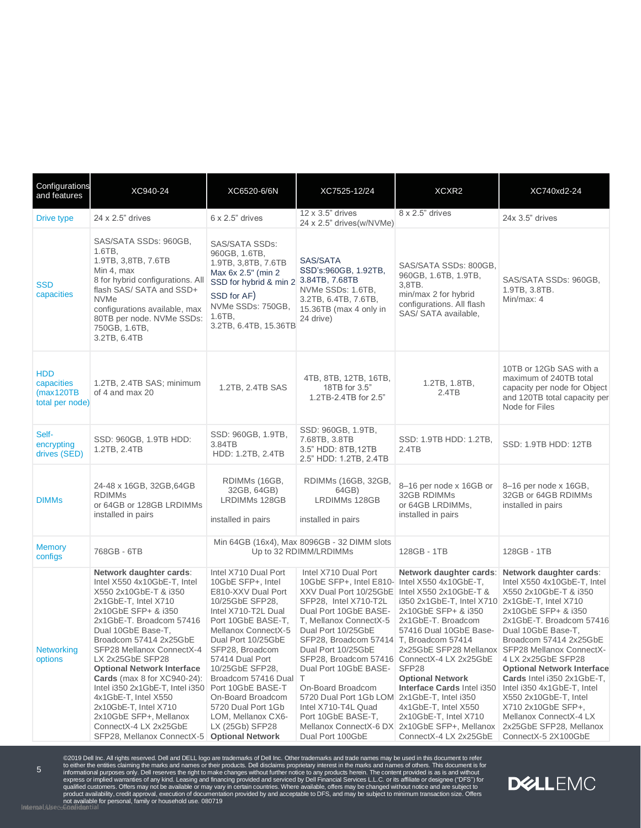| Configurations<br>and features                           | XC940-24                                                                                                                                                                                                                                                                                                                                                                                                                                                                                                                      | XC6520-6/6N                                                                                                                                                                                                                                                                                                                                                                 | XC7525-12/24                                                                                                                                                                                                                                                                                                                                                                                                                                                                          | XCXR2                                                                                                                                                                                                                                                                                                                                                                                   | XC740xd2-24                                                                                                                                                                                                                                                                                                                                                                                                                                                                              |
|----------------------------------------------------------|-------------------------------------------------------------------------------------------------------------------------------------------------------------------------------------------------------------------------------------------------------------------------------------------------------------------------------------------------------------------------------------------------------------------------------------------------------------------------------------------------------------------------------|-----------------------------------------------------------------------------------------------------------------------------------------------------------------------------------------------------------------------------------------------------------------------------------------------------------------------------------------------------------------------------|---------------------------------------------------------------------------------------------------------------------------------------------------------------------------------------------------------------------------------------------------------------------------------------------------------------------------------------------------------------------------------------------------------------------------------------------------------------------------------------|-----------------------------------------------------------------------------------------------------------------------------------------------------------------------------------------------------------------------------------------------------------------------------------------------------------------------------------------------------------------------------------------|------------------------------------------------------------------------------------------------------------------------------------------------------------------------------------------------------------------------------------------------------------------------------------------------------------------------------------------------------------------------------------------------------------------------------------------------------------------------------------------|
| Drive type                                               | 24 x 2.5" drives                                                                                                                                                                                                                                                                                                                                                                                                                                                                                                              | $6 \times 2.5$ " drives                                                                                                                                                                                                                                                                                                                                                     | 12 x 3.5" drives<br>24 x 2.5" drives(w/NVMe)                                                                                                                                                                                                                                                                                                                                                                                                                                          | 8 x 2.5" drives                                                                                                                                                                                                                                                                                                                                                                         | 24x 3.5" drives                                                                                                                                                                                                                                                                                                                                                                                                                                                                          |
| <b>SSD</b><br>capacities                                 | SAS/SATA SSDs: 960GB,<br>1.6TB,<br>1.9TB, 3,8TB, 7.6TB<br>Min 4, max<br>8 for hybrid configurations. All<br>flash SAS/ SATA and SSD+<br><b>NVMe</b><br>configurations available, max<br>80TB per node. NVMe SSDs:<br>750GB, 1.6TB,<br>3.2TB, 6.4TB                                                                                                                                                                                                                                                                            | <b>SAS/SATA SSDs:</b><br>960GB, 1.6TB,<br>1.9TB, 3,8TB, 7.6TB<br>Max 6x 2.5" (min 2<br>SSD for hybrid & min 2<br>SSD for AF)<br>NVMe SSDs: 750GB,<br>$1.6TB$ ,<br>3.2TB, 6.4TB, 15.36TB                                                                                                                                                                                     | SAS/SATA<br>SSD's:960GB, 1.92TB,<br>3.84TB, 7.68TB<br>NVMe SSDs: 1.6TB,<br>3.2TB, 6.4TB, 7.6TB,<br>15.36TB (max 4 only in<br>24 drive)                                                                                                                                                                                                                                                                                                                                                | SAS/SATA SSDs: 800GB,<br>960GB, 1.6TB, 1.9TB,<br>3,8TB.<br>min/max 2 for hybrid<br>configurations. All flash<br>SAS/SATA available,                                                                                                                                                                                                                                                     | SAS/SATA SSDs: 960GB,<br>1.9TB, 3.8TB.<br>Min/max: 4                                                                                                                                                                                                                                                                                                                                                                                                                                     |
| <b>HDD</b><br>capacities<br>(max120TB<br>total per node) | 1.2TB, 2.4TB SAS; minimum<br>of 4 and max 20                                                                                                                                                                                                                                                                                                                                                                                                                                                                                  | 1.2TB, 2.4TB SAS                                                                                                                                                                                                                                                                                                                                                            | 4TB, 8TB, 12TB, 16TB,<br>18TB for 3.5"<br>1.2TB-2.4TB for 2.5"                                                                                                                                                                                                                                                                                                                                                                                                                        | 1.2TB, 1.8TB,<br>2.4TB                                                                                                                                                                                                                                                                                                                                                                  | 10TB or 12Gb SAS with a<br>maximum of 240TB total<br>capacity per node for Object<br>and 120TB total capacity per<br>Node for Files                                                                                                                                                                                                                                                                                                                                                      |
| Self-<br>encrypting<br>drives (SED)                      | SSD: 960GB, 1.9TB HDD:<br>1.2TB, 2.4TB                                                                                                                                                                                                                                                                                                                                                                                                                                                                                        | SSD: 960GB, 1.9TB,<br>3.84TB<br>HDD: 1.2TB, 2.4TB                                                                                                                                                                                                                                                                                                                           | SSD: 960GB, 1.9TB,<br>7.68TB, 3.8TB<br>3.5" HDD: 8TB,12TB<br>2.5" HDD: 1.2TB, 2.4TB                                                                                                                                                                                                                                                                                                                                                                                                   | SSD: 1.9TB HDD: 1.2TB,<br>2.4TB                                                                                                                                                                                                                                                                                                                                                         | SSD: 1.9TB HDD: 12TB                                                                                                                                                                                                                                                                                                                                                                                                                                                                     |
| <b>DIMMs</b>                                             | 24-48 x 16GB, 32GB, 64GB<br><b>RDIMMs</b><br>or 64GB or 128GB LRDIMMs<br>installed in pairs                                                                                                                                                                                                                                                                                                                                                                                                                                   | RDIMMs (16GB,<br>32GB, 64GB)<br><b>LRDIMMs 128GB</b><br>installed in pairs                                                                                                                                                                                                                                                                                                  | RDIMMs (16GB, 32GB,<br>64GB)<br>LRDIMMs 128GB<br>installed in pairs                                                                                                                                                                                                                                                                                                                                                                                                                   | 8-16 per node x 16GB or<br>32GB RDIMMs<br>or 64GB LRDIMMs,<br>installed in pairs                                                                                                                                                                                                                                                                                                        | 8-16 per node x 16GB,<br>32GB or 64GB RDIMMs<br>installed in pairs                                                                                                                                                                                                                                                                                                                                                                                                                       |
| <b>Memory</b><br>configs                                 | 768GB - 6TB                                                                                                                                                                                                                                                                                                                                                                                                                                                                                                                   |                                                                                                                                                                                                                                                                                                                                                                             | Min 64GB (16x4), Max 8096GB - 32 DIMM slots<br>Up to 32 RDIMM/LRDIMMs                                                                                                                                                                                                                                                                                                                                                                                                                 |                                                                                                                                                                                                                                                                                                                                                                                         | 128GB - 1TB                                                                                                                                                                                                                                                                                                                                                                                                                                                                              |
| <b>Networking</b><br>options                             | Network daughter cards:<br>Intel X550 4x10GbE-T, Intel<br>X550 2x10GbE-T & i350<br>2x1GbE-T, Intel X710<br>2x10GbE SFP+ & i350<br>2x1GbE-T. Broadcom 57416<br>Dual 10GbE Base-T,<br>Broadcom 57414 2x25GbE<br>SFP28 Mellanox ConnectX-4<br>LX 2x25GbE SFP28<br><b>Optional Network Interface</b><br><b>Cards</b> (max 8 for XC940-24):<br>Intel i350 2x1GbE-T, Intel i350 Port 10GbE BASE-T<br>4x1GbE-T, Intel X550<br>2x10GbE-T, Intel X710<br>2x10GbE SFP+, Mellanox<br>ConnectX-4 LX 2x25GbE<br>SFP28, Mellanox ConnectX-5 | Intel X710 Dual Port<br>10GbE SFP+, Intel<br>E810-XXV Dual Port<br>10/25GbE SFP28,<br>Intel X710-T2L Dual<br>Port 10GbE BASE-T,<br>Mellanox ConnectX-5<br>Dual Port 10/25GbE<br>SFP28, Broadcom<br>57414 Dual Port<br>10/25GbE SFP28,<br>Broadcom 57416 Dual<br>On-Board Broadcom<br>5720 Dual Port 1Gb<br>LOM, Mellanox CX6-<br>LX (25Gb) SFP28<br><b>Optional Network</b> | Intel X710 Dual Port<br>10GbE SFP+, Intel E810- Intel X550 4x10GbE-T,<br>XXV Dual Port 10/25GbE Intel X550 2x10GbE-T &<br>SFP28, Intel X710-T2L<br>Dual Port 10GbE BASE-<br>T, Mellanox ConnectX-5<br>Dual Port 10/25GbE<br>SFP28, Broadcom 57414 T, Broadcom 57414<br>Dual Port 10/25GbE<br>SFP28, Broadcom 57416<br>Dual Port 10GbE BASE-<br>Τ<br>On-Board Broadcom<br>5720 Dual Port 1Gb LOM 2x1GbE-T, Intel i350<br>Intel X710-T4L Quad<br>Port 10GbE BASE-T,<br>Dual Port 100GbE | Network daughter cards:<br>i350 2x1GbE-T, Intel X710<br>2x10GbE SFP+ & i350<br>2x1GbE-T. Broadcom<br>57416 Dual 10GbE Base-<br>2x25GbE SFP28 Mellanox<br>ConnectX-4 LX 2x25GbE<br>SFP <sub>28</sub><br><b>Optional Network</b><br>Interface Cards Intel i350<br>4x1GbE-T, Intel X550<br>2x10GbE-T, Intel X710<br>Mellanox ConnectX-6 DX 2x10GbE SFP+, Mellanox<br>ConnectX-4 LX 2x25GbE | Network daughter cards:<br>Intel X550 4x10GbE-T, Intel<br>X550 2x10GbE-T & i350<br>2x1GbE-T, Intel X710<br>2x10GbE SFP+ & i350<br>2x1GbE-T. Broadcom 57416<br>Dual 10GbE Base-T,<br>Broadcom 57414 2x25GbE<br>SFP28 Mellanox ConnectX-<br>4 LX 2x25GbE SFP28<br><b>Optional Network Interface</b><br>Cards Intel i350 2x1GbE-T,<br>Intel i350 4x1GbE-T, Intel<br>X550 2x10GbE-T, Intel<br>X710 2x10GbE SFP+,<br>Mellanox ConnectX-4 LX<br>2x25GbE SFP28, Mellanox<br>ConnectX-5 2X100GbE |

©2019 Dell Inc. All rights reserved. Dell and DELL logo are trademarks of Dell Inc. Other trademarks and trade names may be used in this document to refer<br>to either the entities claiming the marks and names or their produ

**DELLEMC**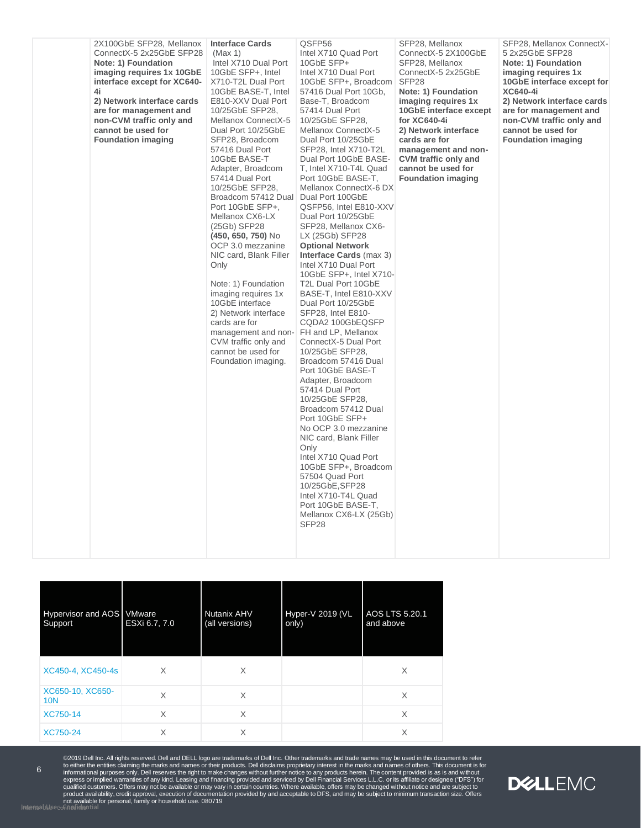| 2X100GbE SFP28, Mellanox<br>ConnectX-5 2x25GbE SFP28<br>Note: 1) Foundation<br>imaging requires 1x 10GbE<br>interface except for XC640-<br>4i<br>2) Network interface cards<br>are for management and<br>non-CVM traffic only and<br>cannot be used for<br><b>Foundation imaging</b> | <b>Interface Cards</b><br>(Max 1)<br>Intel X710 Dual Port<br>10GbE SFP+, Intel<br>X710-T2L Dual Port<br>10GbE BASE-T, Intel<br>E810-XXV Dual Port<br>10/25GbE SFP28,<br>Mellanox ConnectX-5<br>Dual Port 10/25GbE<br>SFP28, Broadcom<br>57416 Dual Port<br>10GbE BASE-T<br>Adapter, Broadcom<br>57414 Dual Port<br>10/25GbE SFP28,<br>Broadcom 57412 Dual<br>Port 10GbE SFP+.<br>Mellanox CX6-LX<br>(25Gb) SFP28<br>(450, 650, 750) No<br>OCP 3.0 mezzanine<br>NIC card, Blank Filler<br>Only<br>Note: 1) Foundation<br>imaging requires 1x<br>10GbE interface<br>2) Network interface<br>cards are for<br>management and non-<br>CVM traffic only and<br>cannot be used for<br>Foundation imaging. | QSFP56<br>Intel X710 Quad Port<br>10GbE SFP+<br>Intel X710 Dual Port<br>10GbE SFP+, Broadcom<br>57416 Dual Port 10Gb,<br>Base-T, Broadcom<br>57414 Dual Port<br>10/25GbE SFP28,<br>Mellanox ConnectX-5<br>Dual Port 10/25GbE<br>SFP28, Intel X710-T2L<br>Dual Port 10GbE BASE-<br>T, Intel X710-T4L Quad<br>Port 10GbE BASE-T,<br>Mellanox ConnectX-6 DX<br>Dual Port 100GbE<br>QSFP56, Intel E810-XXV<br>Dual Port 10/25GbE<br>SFP28, Mellanox CX6-<br>LX (25Gb) SFP28<br><b>Optional Network</b><br><b>Interface Cards (max 3)</b><br>Intel X710 Dual Port<br>10GbE SFP+, Intel X710-<br>T2L Dual Port 10GbE<br>BASE-T, Intel E810-XXV<br>Dual Port 10/25GbE<br>SFP28, Intel E810-<br>CQDA2 100GbEQSFP<br>FH and LP, Mellanox<br>ConnectX-5 Dual Port<br>10/25GbE SFP28,<br>Broadcom 57416 Dual<br>Port 10GbE BASE-T<br>Adapter, Broadcom<br>57414 Dual Port<br>10/25GbE SFP28,<br>Broadcom 57412 Dual<br>Port 10GbE SFP+<br>No OCP 3.0 mezzanine<br>NIC card, Blank Filler<br>Only<br>Intel X710 Quad Port<br>10GbE SFP+, Broadcom<br>57504 Quad Port<br>10/25GbE, SFP28<br>Intel X710-T4L Quad<br>Port 10GbE BASE-T,<br>Mellanox CX6-LX (25Gb)<br>SFP <sub>28</sub> | SFP28, Mellanox<br>ConnectX-5 2X100GbE<br>SFP28, Mellanox<br>ConnectX-5 2x25GbE<br>SFP <sub>28</sub><br>Note: 1) Foundation<br>imaging requires 1x<br>10GbE interface except<br>for XC640-4i<br>2) Network interface<br>cards are for<br>management and non-<br><b>CVM</b> traffic only and<br>cannot be used for<br><b>Foundation imaging</b> | SFP28, Mellanox ConnectX-<br>5 2x25GbE SFP28<br>Note: 1) Foundation<br>imaging requires 1x<br>10GbE interface except for<br><b>XC640-4i</b><br>2) Network interface cards<br>are for management and<br>non-CVM traffic only and<br>cannot be used for<br><b>Foundation imaging</b> |
|--------------------------------------------------------------------------------------------------------------------------------------------------------------------------------------------------------------------------------------------------------------------------------------|-----------------------------------------------------------------------------------------------------------------------------------------------------------------------------------------------------------------------------------------------------------------------------------------------------------------------------------------------------------------------------------------------------------------------------------------------------------------------------------------------------------------------------------------------------------------------------------------------------------------------------------------------------------------------------------------------------|-------------------------------------------------------------------------------------------------------------------------------------------------------------------------------------------------------------------------------------------------------------------------------------------------------------------------------------------------------------------------------------------------------------------------------------------------------------------------------------------------------------------------------------------------------------------------------------------------------------------------------------------------------------------------------------------------------------------------------------------------------------------------------------------------------------------------------------------------------------------------------------------------------------------------------------------------------------------------------------------------------------------------------------------------------------------------------------------------------------------------------------------------------------------------|------------------------------------------------------------------------------------------------------------------------------------------------------------------------------------------------------------------------------------------------------------------------------------------------------------------------------------------------|------------------------------------------------------------------------------------------------------------------------------------------------------------------------------------------------------------------------------------------------------------------------------------|

| Hypervisor and AOS VMware<br>Support | ESXi 6.7, 7.0 | Nutanix AHV<br>(all versions) | Hyper-V 2019 (VL<br>only) | AOS LTS 5.20.1<br>and above |
|--------------------------------------|---------------|-------------------------------|---------------------------|-----------------------------|
| XC450-4, XC450-4s                    | X             | $\times$                      |                           | X                           |
| XC650-10, XC650-<br><b>10N</b>       | X             | $\times$                      |                           | X                           |
| XC750-14                             | X             | X                             |                           | X                           |
| XC750-24                             | X             | X                             |                           | X                           |

6

©2019 Dell Inc. All rights reserved. Dell and DELL logo are trademarks of Dell Inc. Other trademarks and trade names may be used in this document to refer<br>to either the entities claiming the marks and names or their produ